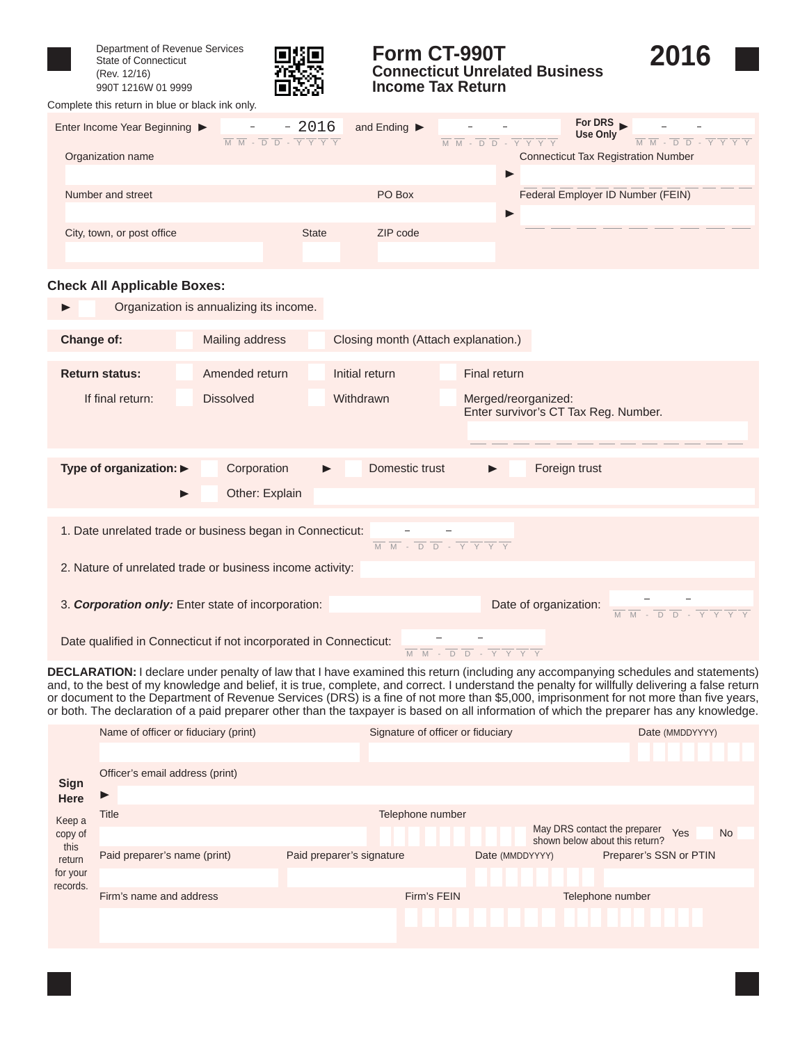

Department of Revenue Services State of Connecticut (Rev. 12/16) 990T 1216W 01 9999

Complete this return in blue or black ink only.



### **Form CT-990T Connecticut Unrelated Business Income Tax Return**



**For DRS** Enter Income Year Beginning  $\triangleright$  - 2016 and Ending  $\triangleright$  $-2016$  $\blacktriangleright$  $\equiv$  $\frac{1}{2}$ **Use Only**  $\frac{1}{M}$   $\frac{1}{M}$   $\frac{1}{M}$   $\frac{1}{D}$   $\frac{1}{D}$   $\frac{1}{N}$   $\frac{1}{N}$  $\overline{\mathsf{M}}\ \overline{\mathsf{M}}\ \cdot\ \overline{\mathsf{D}}\ \overline{\mathsf{D}}\ \cdot\ \overline{\mathsf{Y}}\ \overline{\mathsf{Y}}\ \overline{\mathsf{Y}}\ \overline{\mathsf{Y}}\ \overline{\mathsf{Y}}\ \overline{\mathsf{Y}}\ \mathsf{W}\ \cdot\ \overline{\mathsf{D}}\ \overline{\mathsf{D}}\ \cdot\ \overline{\mathsf{Y}}\ \overline{\mathsf{Y}}\ \overline{\mathsf{Y}}\ \overline{\mathsf{Y}}\ \overline{\mathsf{Y}}\ \overline{\mathsf{Y}}\ \overline{\mathsf{Y}}\ \overline{\mathsf{Y}}\ \over$ Organization name Connecticut Tax Registration Number  $\blacktriangleright$ Number and street **PO Box PO Box PO Box Federal Employer ID Number (FEIN)** Þ City, town, or post office State ZIP code

#### **Check All Applicable Boxes:**

|                                                                                                                                                                                                                                                                       | Organization is annualizing its income. |                                         |                                                             |  |  |  |  |  |  |
|-----------------------------------------------------------------------------------------------------------------------------------------------------------------------------------------------------------------------------------------------------------------------|-----------------------------------------|-----------------------------------------|-------------------------------------------------------------|--|--|--|--|--|--|
| Change of:                                                                                                                                                                                                                                                            | Mailing address                         | Closing month (Attach explanation.)     |                                                             |  |  |  |  |  |  |
| <b>Return status:</b>                                                                                                                                                                                                                                                 | Amended return                          | Initial return                          | Final return                                                |  |  |  |  |  |  |
| If final return:                                                                                                                                                                                                                                                      | <b>Dissolved</b>                        | Withdrawn                               | Merged/reorganized:<br>Enter survivor's CT Tax Reg. Number. |  |  |  |  |  |  |
| Type of organization: $\blacktriangleright$                                                                                                                                                                                                                           | Corporation<br>Other: Explain           | Domestic trust<br>$\blacktriangleright$ | Foreign trust                                               |  |  |  |  |  |  |
| 1. Date unrelated trade or business began in Connecticut:<br>$\overline{\mathsf{M} \quad \mathsf{M} \quad \cdot \quad \overline{\mathsf{D} \quad \mathsf{D} \quad \cdot \quad \mathsf{Y} \quad \mathsf{Y} \quad \mathsf{Y} \quad \mathsf{Y} \quad \mathsf{Y} \quad }$ |                                         |                                         |                                                             |  |  |  |  |  |  |
| 2. Nature of unrelated trade or business income activity:                                                                                                                                                                                                             |                                         |                                         |                                                             |  |  |  |  |  |  |
| Date of organization:<br>3. Corporation only: Enter state of incorporation:<br>$\overline{M}$ $\overline{M}$ - $\overline{D}$ $\overline{D}$ - $\overline{Y}$ $\overline{Y}$                                                                                          |                                         |                                         |                                                             |  |  |  |  |  |  |
| Date qualified in Connecticut if not incorporated in Connecticut:<br>$\overline{M} \quad \overline{M} \quad - \quad \overline{D} \quad \overline{D} \quad - \quad \overline{Y} \quad \overline{Y} \quad \overline{Y} \quad \overline{Y}$                              |                                         |                                         |                                                             |  |  |  |  |  |  |

**DECLARATION:** I declare under penalty of law that I have examined this return (including any accompanying schedules and statements) and, to the best of my knowledge and belief, it is true, complete, and correct. I understand the penalty for willfully delivering a false return or document to the Department of Revenue Services (DRS) is a fine of not more than \$5,000, imprisonment for not more than five years, or both. The declaration of a paid preparer other than the taxpayer is based on all information of which the preparer has any knowledge.

|                      | Name of officer or fiduciary (print) | Signature of officer or fiduciary |                                                                | Date (MMDDYYYY)        |  |  |
|----------------------|--------------------------------------|-----------------------------------|----------------------------------------------------------------|------------------------|--|--|
|                      |                                      |                                   |                                                                |                        |  |  |
| <b>Sign</b>          | Officer's email address (print)      |                                   |                                                                |                        |  |  |
| Here                 | ▶                                    |                                   |                                                                |                        |  |  |
| Keep a               | <b>Title</b>                         | Telephone number                  |                                                                |                        |  |  |
| copy of<br>this      |                                      |                                   | May DRS contact the preparer<br>shown below about this return? | Yes<br><b>No</b>       |  |  |
| return               | Paid preparer's name (print)         | Paid preparer's signature         | Date (MMDDYYYY)                                                | Preparer's SSN or PTIN |  |  |
| for your<br>records. |                                      |                                   |                                                                |                        |  |  |
|                      | Firm's name and address              | Firm's FEIN                       |                                                                | Telephone number       |  |  |
|                      |                                      |                                   |                                                                |                        |  |  |
|                      |                                      |                                   |                                                                |                        |  |  |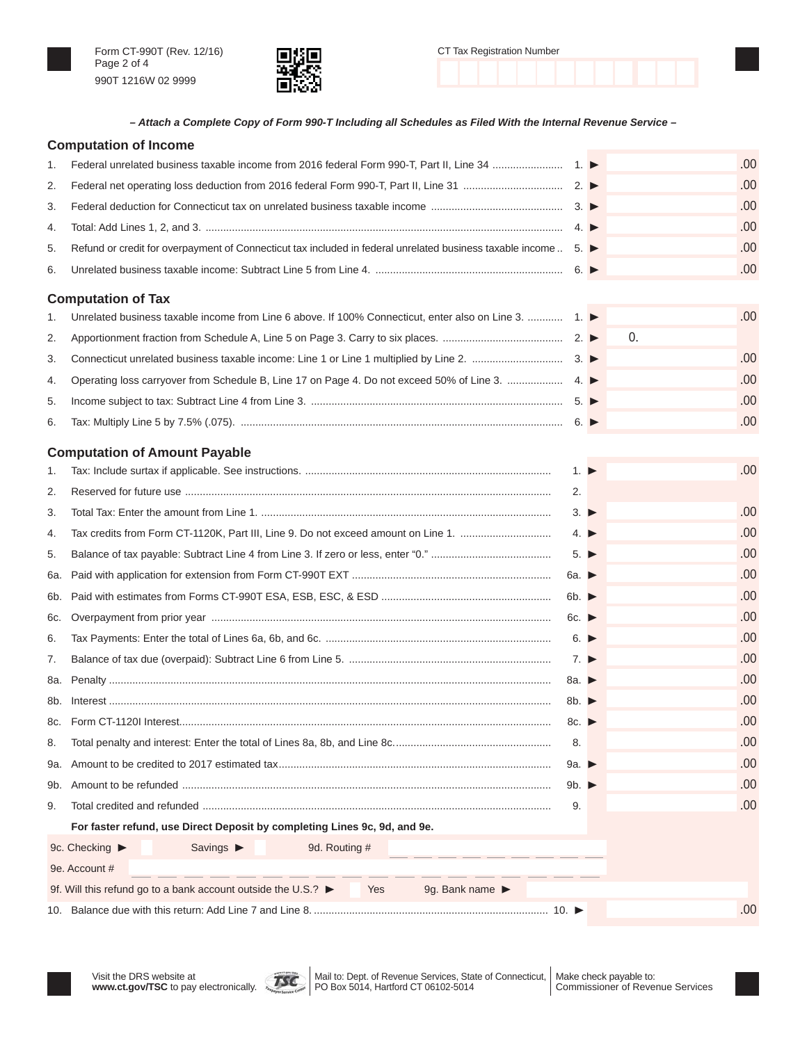



| CT Tax Registration Number |  |  |  |  |  |  |  |  |  |  |  |
|----------------------------|--|--|--|--|--|--|--|--|--|--|--|
|                            |  |  |  |  |  |  |  |  |  |  |  |

*– Attach a Complete Copy of Form 990-T Including all Schedules as Filed With the Internal Revenue Service –*

|     | <b>Computation of Income</b>                                                                                    |                           |    |     |
|-----|-----------------------------------------------------------------------------------------------------------------|---------------------------|----|-----|
| 1.  |                                                                                                                 |                           |    | .00 |
| 2.  |                                                                                                                 |                           |    | .00 |
| 3.  |                                                                                                                 |                           |    | .00 |
| 4.  |                                                                                                                 |                           |    | .00 |
| 5.  | Refund or credit for overpayment of Connecticut tax included in federal unrelated business taxable income  5. ▶ |                           |    | .00 |
| 6.  |                                                                                                                 |                           |    | .00 |
|     | <b>Computation of Tax</b>                                                                                       |                           |    |     |
| 1.  | Unrelated business taxable income from Line 6 above. If 100% Connecticut, enter also on Line 3.  1. ▶           |                           |    | .00 |
| 2.  |                                                                                                                 |                           | 0. |     |
| 3.  |                                                                                                                 |                           |    | .00 |
| 4.  |                                                                                                                 |                           |    | .00 |
| 5.  |                                                                                                                 |                           |    | .00 |
| 6.  |                                                                                                                 |                           |    | .00 |
|     | <b>Computation of Amount Payable</b>                                                                            |                           |    |     |
| 1.  |                                                                                                                 | $1. \triangleright$       |    | .00 |
| 2.  |                                                                                                                 | 2.                        |    |     |
| 3.  |                                                                                                                 | $3. \triangleright$       |    | .00 |
| 4.  | Tax credits from Form CT-1120K, Part III, Line 9. Do not exceed amount on Line 1.                               | 4. $\blacktriangleright$  |    | .00 |
| 5.  |                                                                                                                 | $5. \triangleright$       |    | .00 |
| 6а. |                                                                                                                 | 6a. $\blacktriangleright$ |    | .00 |
| 6b. |                                                                                                                 | 6b. $\blacktriangleright$ |    | .00 |
| 6с. |                                                                                                                 | 6c.                       |    | .00 |
| 6.  |                                                                                                                 | $6. \triangleright$       |    | .00 |
| 7.  |                                                                                                                 | $7. \triangleright$       |    | .00 |
| 8a. |                                                                                                                 | 8a. $\blacktriangleright$ |    | .00 |
| 8b. |                                                                                                                 | 8b. $\blacktriangleright$ |    | .00 |
|     |                                                                                                                 | 8c. $\blacktriangleright$ |    | .00 |
| 8.  |                                                                                                                 | 8.                        |    | .00 |
| 9a. |                                                                                                                 | 9a. $\blacktriangleright$ |    | .00 |
| 9b. |                                                                                                                 | 9b. $\blacktriangleright$ |    | .00 |
| 9.  |                                                                                                                 | 9.                        |    | .00 |
|     | For faster refund, use Direct Deposit by completing Lines 9c, 9d, and 9e.                                       |                           |    |     |
|     | 9c. Checking $\blacktriangleright$<br>Savings $\blacktriangleright$<br>9d. Routing #                            |                           |    |     |
|     | 9e. Account #                                                                                                   |                           |    |     |
|     | 9f. Will this refund go to a bank account outside the U.S.? ▶<br>Yes<br>9g. Bank name ▶                         |                           |    |     |
|     |                                                                                                                 |                           |    | .00 |



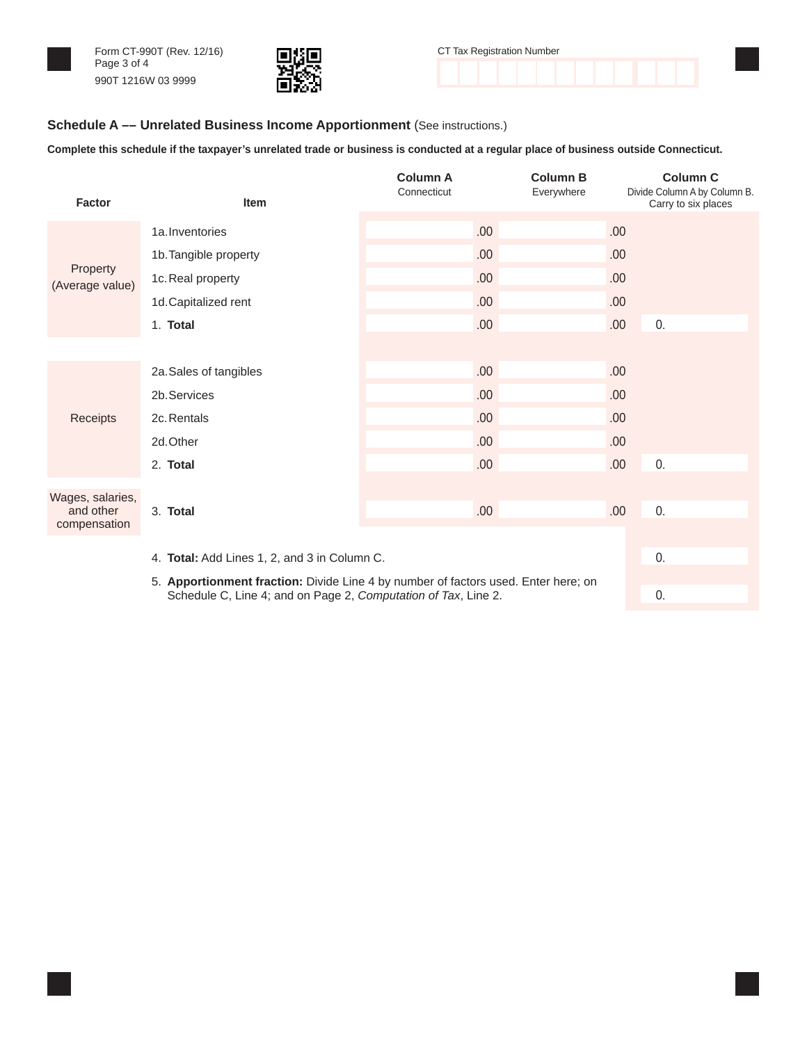



| CT Tax Registration Number |  |  |  |  |  |  |  |  |
|----------------------------|--|--|--|--|--|--|--|--|
|                            |  |  |  |  |  |  |  |  |
|                            |  |  |  |  |  |  |  |  |

#### **Schedule A –– Unrelated Business Income Apportionment** (See instructions.)

**Complete this schedule if the taxpayer's unrelated trade or business is conducted at a regular place of business outside Connecticut.**

| <b>Factor</b>                                                                      | Item                                         | <b>Column A</b><br>Connecticut | <b>Column B</b><br>Everywhere | <b>Column C</b><br>Divide Column A by Column B.<br>Carry to six places |  |  |  |  |  |
|------------------------------------------------------------------------------------|----------------------------------------------|--------------------------------|-------------------------------|------------------------------------------------------------------------|--|--|--|--|--|
|                                                                                    | 1a. Inventories                              | .00.                           | .00.                          |                                                                        |  |  |  |  |  |
|                                                                                    | 1b. Tangible property                        | .00.                           | .00                           |                                                                        |  |  |  |  |  |
| Property<br>(Average value)                                                        | 1c. Real property                            | .00.                           | .00                           |                                                                        |  |  |  |  |  |
|                                                                                    | 1d. Capitalized rent                         | .00.                           | .00                           |                                                                        |  |  |  |  |  |
|                                                                                    | 1. Total                                     | .00.                           | .00.                          | 0.                                                                     |  |  |  |  |  |
|                                                                                    |                                              |                                |                               |                                                                        |  |  |  |  |  |
|                                                                                    | 2a. Sales of tangibles                       | .00.                           | .00                           |                                                                        |  |  |  |  |  |
|                                                                                    | 2b. Services                                 | .00.                           | .00                           |                                                                        |  |  |  |  |  |
| Receipts                                                                           | 2c. Rentals                                  | .00.                           | .00                           |                                                                        |  |  |  |  |  |
|                                                                                    | 2d.Other                                     | .00.                           | .00.                          |                                                                        |  |  |  |  |  |
|                                                                                    | 2. Total                                     | .00.                           | .00.                          | 0.                                                                     |  |  |  |  |  |
| Wages, salaries,                                                                   |                                              |                                |                               |                                                                        |  |  |  |  |  |
| and other<br>compensation                                                          | 3. Total                                     | .00.                           | .00.                          | 0.                                                                     |  |  |  |  |  |
|                                                                                    |                                              |                                |                               |                                                                        |  |  |  |  |  |
|                                                                                    | 4. Total: Add Lines 1, 2, and 3 in Column C. |                                |                               |                                                                        |  |  |  |  |  |
| 5. Apportionment fraction: Divide Line 4 by number of factors used. Enter here; on |                                              |                                |                               |                                                                        |  |  |  |  |  |

Schedule C, Line 4; and on Page 2, *Computation of Tax*, Line 2. 0.